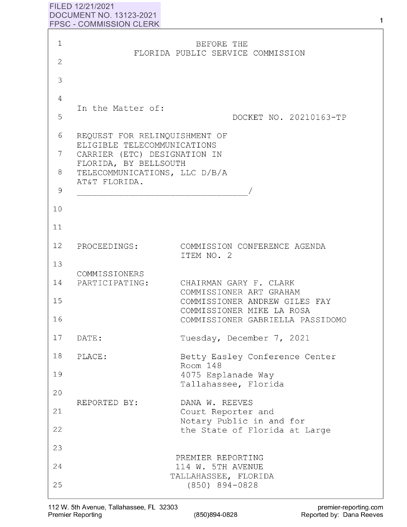## **FILED 12/21/2021 DOCUMENT NO. 13123-2021 FPSC** - **COMMISSION CLERK**

| $\mathbf 1$          |                                                                                                                                                        | BEFORE THE                                                                                                                                          |
|----------------------|--------------------------------------------------------------------------------------------------------------------------------------------------------|-----------------------------------------------------------------------------------------------------------------------------------------------------|
| $\mathbf{2}$         |                                                                                                                                                        | FLORIDA PUBLIC SERVICE COMMISSION                                                                                                                   |
| 3                    |                                                                                                                                                        |                                                                                                                                                     |
| 4                    |                                                                                                                                                        |                                                                                                                                                     |
| 5                    | In the Matter of:                                                                                                                                      | DOCKET NO. 20210163-TP                                                                                                                              |
| 6<br>7<br>8          | REQUEST FOR RELINQUISHMENT OF<br>ELIGIBLE TELECOMMUNICATIONS<br>CARRIER (ETC) DESIGNATION IN<br>FLORIDA, BY BELLSOUTH<br>TELECOMMUNICATIONS, LLC D/B/A |                                                                                                                                                     |
| 9                    | AT&T FLORIDA.                                                                                                                                          |                                                                                                                                                     |
| 10                   |                                                                                                                                                        |                                                                                                                                                     |
| 11                   |                                                                                                                                                        |                                                                                                                                                     |
| 12                   | PROCEEDINGS:                                                                                                                                           | COMMISSION CONFERENCE AGENDA<br>ITEM NO. 2                                                                                                          |
| 13<br>14<br>15<br>16 | COMMISSIONERS<br>PARTICIPATING:                                                                                                                        | CHAIRMAN GARY F. CLARK<br>COMMISSIONER ART GRAHAM<br>COMMISSIONER ANDREW GILES FAY<br>COMMISSIONER MIKE LA ROSA<br>COMMISSIONER GABRIELLA PASSIDOMO |
| 17                   | DATE:                                                                                                                                                  | Tuesday, December 7, 2021                                                                                                                           |
| 18                   | PLACE:                                                                                                                                                 | Betty Easley Conference Center                                                                                                                      |
| 19                   |                                                                                                                                                        | Room 148<br>4075 Esplanade Way<br>Tallahassee, Florida                                                                                              |
| 20                   | REPORTED BY:                                                                                                                                           | DANA W. REEVES                                                                                                                                      |
| 21                   |                                                                                                                                                        | Court Reporter and                                                                                                                                  |
| 22                   |                                                                                                                                                        | Notary Public in and for<br>the State of Florida at Large                                                                                           |
| 23                   |                                                                                                                                                        |                                                                                                                                                     |
| 24                   |                                                                                                                                                        | PREMIER REPORTING<br>114 W. 5TH AVENUE<br>TALLAHASSEE, FLORIDA                                                                                      |
| 25                   |                                                                                                                                                        | $(850)$ 894-0828                                                                                                                                    |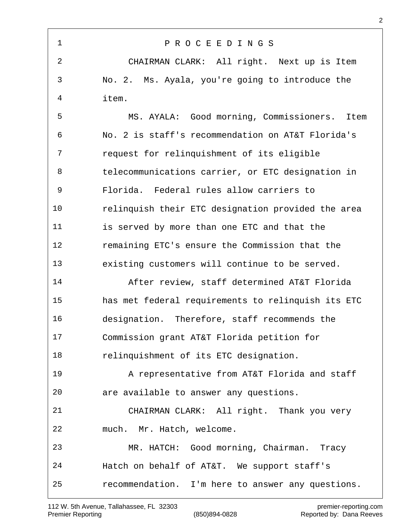| 1              | PROCEEDINGS                                        |
|----------------|----------------------------------------------------|
| $\overline{2}$ | CHAIRMAN CLARK: All right. Next up is Item         |
| 3              | No. 2. Ms. Ayala, you're going to introduce the    |
| 4              | item.                                              |
| 5              | MS. AYALA: Good morning, Commissioners.<br>Item    |
| 6              | No. 2 is staff's recommendation on AT&T Florida's  |
| 7              | request for relinquishment of its eligible         |
| 8              | telecommunications carrier, or ETC designation in  |
| 9              | Florida. Federal rules allow carriers to           |
| 10             | relinguish their ETC designation provided the area |
| 11             | is served by more than one ETC and that the        |
| 12             | remaining ETC's ensure the Commission that the     |
| 13             | existing customers will continue to be served.     |
| 14             | After review, staff determined AT&T Florida        |
| 15             | has met federal requirements to relinquish its ETC |
| 16             | designation. Therefore, staff recommends the       |
| 17             | Commission grant AT&T Florida petition for         |
| 18             | relinquishment of its ETC designation.             |
| 19             | A representative from AT&T Florida and staff       |
| 20             | are available to answer any questions.             |
| 21             | CHAIRMAN CLARK: All right. Thank you very          |
| 22             | much. Mr. Hatch, welcome.                          |
| 23             | MR. HATCH: Good morning, Chairman. Tracy           |
| 24             | Hatch on behalf of AT&T. We support staff's        |
| 25             | recommendation. I'm here to answer any questions.  |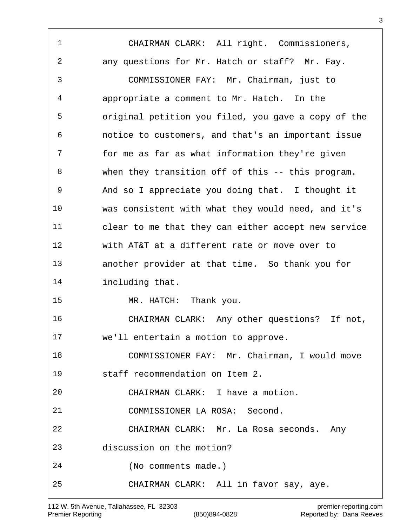CHAIRMAN CLARK: All right. Commissioners, any questions for Mr. Hatch or staff? Mr. Fay. COMMISSIONER FAY: Mr. Chairman, just to appropriate a comment to Mr. Hatch. In the original petition you filed, you gave a copy of the notice to customers, and that's an important issue for me as far as what information they're given when they transition off of this -- this program. And so I appreciate you doing that. I thought it was consistent with what they would need, and it's clear to me that they can either accept new service with AT&T at a different rate or move over to another provider at that time. So thank you for including that. MR. HATCH: Thank you. CHAIRMAN CLARK: Any other questions? If not, we'll entertain a motion to approve. COMMISSIONER FAY: Mr. Chairman, I would move staff recommendation on Item 2. CHAIRMAN CLARK: I have a motion. COMMISSIONER LA ROSA: Second. CHAIRMAN CLARK: Mr. La Rosa seconds. Any discussion on the motion? (No comments made.) CHAIRMAN CLARK: All in favor say, aye.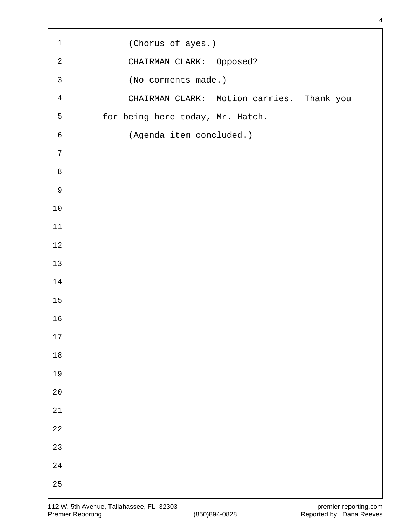| $\mathbf 1$    | (Chorus of ayes.)                         |
|----------------|-------------------------------------------|
| $\mathbf{2}$   | CHAIRMAN CLARK: Opposed?                  |
| $\mathbf{3}$   | (No comments made.)                       |
| $\overline{4}$ | CHAIRMAN CLARK: Motion carries. Thank you |
| 5              | for being here today, Mr. Hatch.          |
| $\sqrt{6}$     | (Agenda item concluded.)                  |
| $\overline{7}$ |                                           |
| $\,8\,$        |                                           |
| $\mathsf 9$    |                                           |
| $10$           |                                           |
| $11\,$         |                                           |
| $1\,2$         |                                           |
| 13             |                                           |
| 14             |                                           |
| $15$           |                                           |
| 16             |                                           |
| $17\,$         |                                           |
| $1\,8$         |                                           |
| 19             |                                           |
| $20$           |                                           |
| $2\sqrt{1}$    |                                           |
| $2\sqrt{2}$    |                                           |
| 23             |                                           |
| $2\sqrt{4}$    |                                           |
| $25\,$         |                                           |